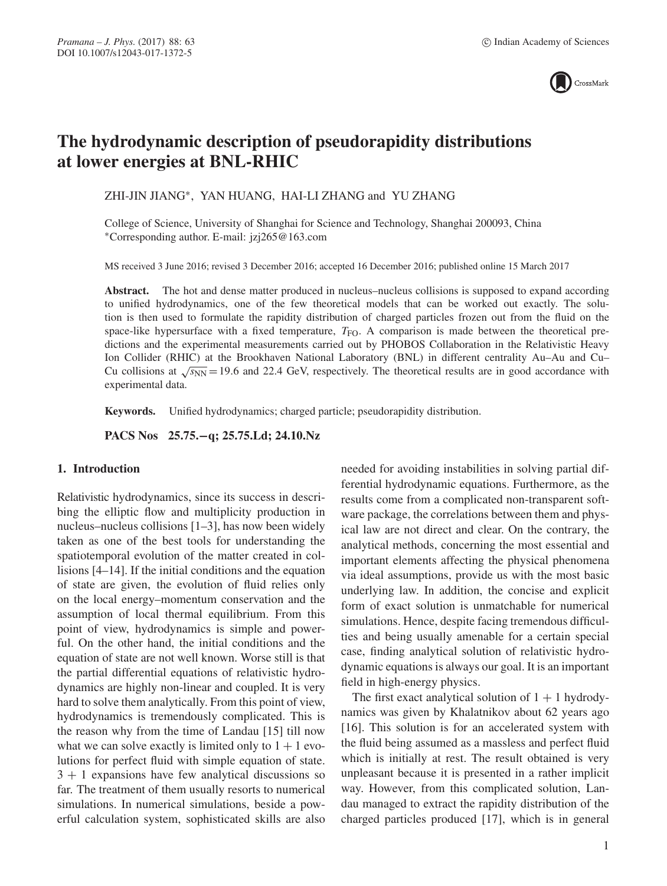

# **The hydrodynamic description of pseudorapidity distributions at lower energies at BNL-RHIC**

ZHI-JIN JIANG∗, YAN HUANG, HAI-LI ZHANG and YU ZHANG

College of Science, University of Shanghai for Science and Technology, Shanghai 200093, China ∗Corresponding author. E-mail: jzj265@163.com

MS received 3 June 2016; revised 3 December 2016; accepted 16 December 2016; published online 15 March 2017

Abstract. The hot and dense matter produced in nucleus–nucleus collisions is supposed to expand according to unified hydrodynamics, one of the few theoretical models that can be worked out exactly. The solution is then used to formulate the rapidity distribution of charged particles frozen out from the fluid on the space-like hypersurface with a fixed temperature,  $T_{FO}$ . A comparison is made between the theoretical predictions and the experimental measurements carried out by PHOBOS Collaboration in the Relativistic Heavy Ion Collider (RHIC) at the Brookhaven National Laboratory (BNL) in different centrality Au–Au and Cu– Cu collisions at  $\sqrt{s_{NN}}$  = 19.6 and 22.4 GeV, respectively. The theoretical results are in good accordance with experimental data.

**Keywords.** Unified hydrodynamics; charged particle; pseudorapidity distribution.

**PACS Nos 25.75.−q; 25.75.Ld; 24.10.Nz**

## **1. Introduction**

Relativistic hydrodynamics, since its success in describing the elliptic flow and multiplicity production in nucleus–nucleus collisions [1–3], has now been widely taken as one of the best tools for understanding the spatiotemporal evolution of the matter created in collisions [4–14]. If the initial conditions and the equation of state are given, the evolution of fluid relies only on the local energy–momentum conservation and the assumption of local thermal equilibrium. From this point of view, hydrodynamics is simple and powerful. On the other hand, the initial conditions and the equation of state are not well known. Worse still is that the partial differential equations of relativistic hydrodynamics are highly non-linear and coupled. It is very hard to solve them analytically. From this point of view, hydrodynamics is tremendously complicated. This is the reason why from the time of Landau [15] till now what we can solve exactly is limited only to  $1 + 1$  evolutions for perfect fluid with simple equation of state.  $3 + 1$  expansions have few analytical discussions so far. The treatment of them usually resorts to numerical simulations. In numerical simulations, beside a powerful calculation system, sophisticated skills are also needed for avoiding instabilities in solving partial differential hydrodynamic equations. Furthermore, as the results come from a complicated non-transparent software package, the correlations between them and physical law are not direct and clear. On the contrary, the analytical methods, concerning the most essential and important elements affecting the physical phenomena via ideal assumptions, provide us with the most basic underlying law. In addition, the concise and explicit form of exact solution is unmatchable for numerical simulations. Hence, despite facing tremendous difficulties and being usually amenable for a certain special case, finding analytical solution of relativistic hydrodynamic equations is always our goal. It is an important field in high-energy physics.

The first exact analytical solution of  $1 + 1$  hydrodynamics was given by Khalatnikov about 62 years ago [16]. This solution is for an accelerated system with the fluid being assumed as a massless and perfect fluid which is initially at rest. The result obtained is very unpleasant because it is presented in a rather implicit way. However, from this complicated solution, Landau managed to extract the rapidity distribution of the charged particles produced [17], which is in general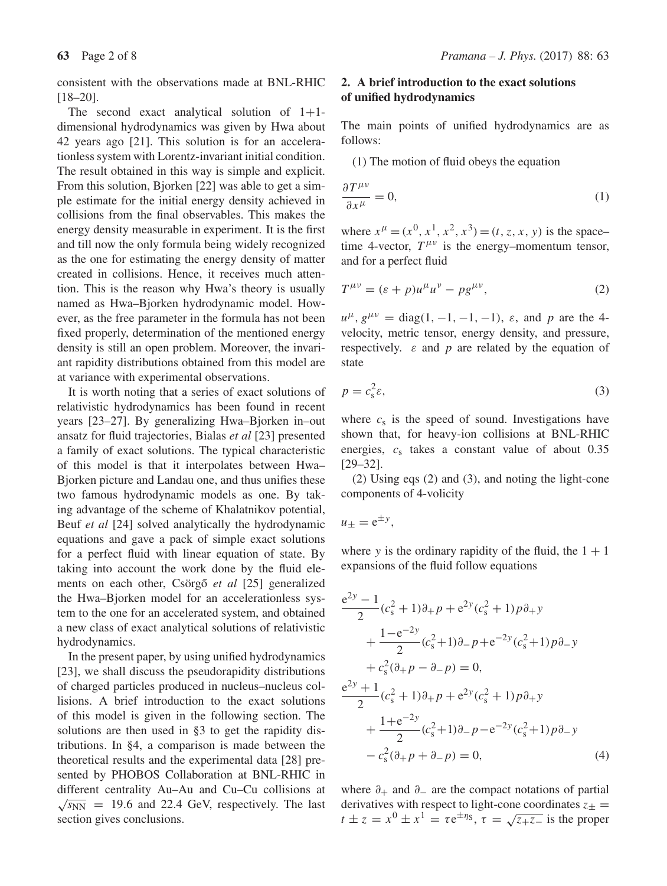consistent with the observations made at BNL-RHIC [18–20].

The second exact analytical solution of  $1+1$ dimensional hydrodynamics was given by Hwa about 42 years ago [21]. This solution is for an accelerationless system with Lorentz-invariant initial condition. The result obtained in this way is simple and explicit. From this solution, Bjorken [22] was able to get a simple estimate for the initial energy density achieved in collisions from the final observables. This makes the energy density measurable in experiment. It is the first and till now the only formula being widely recognized as the one for estimating the energy density of matter created in collisions. Hence, it receives much attention. This is the reason why Hwa's theory is usually named as Hwa–Bjorken hydrodynamic model. However, as the free parameter in the formula has not been fixed properly, determination of the mentioned energy density is still an open problem. Moreover, the invariant rapidity distributions obtained from this model are at variance with experimental observations.

It is worth noting that a series of exact solutions of relativistic hydrodynamics has been found in recent years [23–27]. By generalizing Hwa–Bjorken in–out ansatz for fluid trajectories, Bialas *et al* [23] presented a family of exact solutions. The typical characteristic of this model is that it interpolates between Hwa– Bjorken picture and Landau one, and thus unifies these two famous hydrodynamic models as one. By taking advantage of the scheme of Khalatnikov potential, Beuf *et al* [24] solved analytically the hydrodynamic equations and gave a pack of simple exact solutions for a perfect fluid with linear equation of state. By taking into account the work done by the fluid elements on each other, Csörgő et al [25] generalized the Hwa–Bjorken model for an accelerationless system to the one for an accelerated system, and obtained a new class of exact analytical solutions of relativistic hydrodynamics.

In the present paper, by using unified hydrodynamics [23], we shall discuss the pseudorapidity distributions of charged particles produced in nucleus–nucleus collisions. A brief introduction to the exact solutions of this model is given in the following section. The solutions are then used in §3 to get the rapidity distributions. In §4, a comparison is made between the theoretical results and the experimental data [28] presented by PHOBOS Collaboration at BNL-RHIC in different centrality Au–Au and Cu–Cu collisions at  $\sqrt{s_{NN}}$  = 19.6 and 22.4 GeV, respectively. The last section gives conclusions.

# **2. A brief introduction to the exact solutions of unified hydrodynamics**

The main points of unified hydrodynamics are as follows:

(1) The motion of fluid obeys the equation

$$
\frac{\partial T^{\mu\nu}}{\partial x^{\mu}} = 0,\tag{1}
$$

where  $x^{\mu} = (x^0, x^1, x^2, x^3) = (t, z, x, y)$  is the space– time 4-vector,  $T^{\mu\nu}$  is the energy–momentum tensor, and for a perfect fluid

$$
T^{\mu\nu} = (\varepsilon + p)u^{\mu}u^{\nu} - pg^{\mu\nu}, \tag{2}
$$

 $u^{\mu}$ ,  $g^{\mu\nu} = \text{diag}(1, -1, -1, -1)$ ,  $\varepsilon$ , and p are the 4velocity, metric tensor, energy density, and pressure, respectively.  $\varepsilon$  and p are related by the equation of state

$$
p = c_s^2 \varepsilon,\tag{3}
$$

where  $c_s$  is the speed of sound. Investigations have shown that, for heavy-ion collisions at BNL-RHIC energies,  $c_s$  takes a constant value of about 0.35 [29–32].

(2) Using eqs (2) and (3), and noting the light-cone components of 4-volicity

$$
u_{\pm} = e^{\pm y},
$$

where y is the ordinary rapidity of the fluid, the  $1 + 1$ expansions of the fluid follow equations

$$
\frac{e^{2y} - 1}{2} (c_s^2 + 1)\partial_+ p + e^{2y} (c_s^2 + 1)p\partial_+ y
$$
  
+ 
$$
\frac{1 - e^{-2y}}{2} (c_s^2 + 1)\partial_- p + e^{-2y} (c_s^2 + 1)p\partial_- y
$$
  
+ 
$$
c_s^2 (\partial_+ p - \partial_- p) = 0,
$$
  

$$
\frac{e^{2y} + 1}{2} (c_s^2 + 1)\partial_+ p + e^{2y} (c_s^2 + 1)p\partial_+ y
$$
  
+ 
$$
\frac{1 + e^{-2y}}{2} (c_s^2 + 1)\partial_- p - e^{-2y} (c_s^2 + 1)p\partial_- y
$$
  
- 
$$
c_s^2 (\partial_+ p + \partial_- p) = 0,
$$
 (4)

where  $\partial_+$  and  $\partial_-$  are the compact notations of partial derivatives with respect to light-cone coordinates  $z_{\pm}$ derivatives with respect to light-cone coordinates  $z_{\pm} =$ <br> $t + z_{\pm} - x_0 + x_1 = z_0 \pm \eta s$ ,  $z_{\pm} = \sqrt{z_0 z_{\pm}}$  is the proper  $t \pm z = x^0 \pm x^1 = \tau e^{\pm \eta s}, \tau = \sqrt{z + z}$  is the proper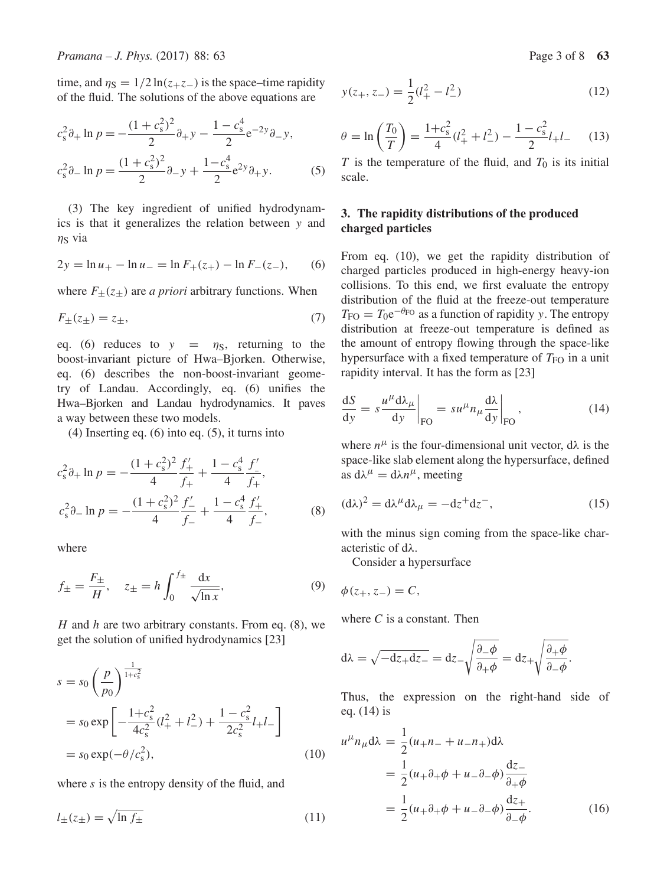time, and  $\eta_s = 1/2 \ln(z_+ z_-)$  is the space–time rapidity of the fluid. The solutions of the above equations are

$$
c_s^2 \partial_+ \ln p = -\frac{(1+c_s^2)^2}{2} \partial_+ y - \frac{1-c_s^4}{2} e^{-2y} \partial_- y,
$$
  

$$
c_s^2 \partial_- \ln p = \frac{(1+c_s^2)^2}{2} \partial_- y + \frac{1-c_s^4}{2} e^{2y} \partial_+ y.
$$
 (5)

(3) The key ingredient of unified hydrodynamics is that it generalizes the relation between y and  $\eta$ <sub>S</sub> via

$$
2y = \ln u_{+} - \ln u_{-} = \ln F_{+}(z_{+}) - \ln F_{-}(z_{-}), \qquad (6)
$$

where  $F_{\pm}(z_{\pm})$  are *a priori* arbitrary functions. When

$$
F_{\pm}(z_{\pm}) = z_{\pm},\tag{7}
$$

eq. (6) reduces to  $y = \eta_s$ , returning to the boost-invariant picture of Hwa–Bjorken. Otherwise, eq. (6) describes the non-boost-invariant geometry of Landau. Accordingly, eq. (6) unifies the Hwa–Bjorken and Landau hydrodynamics. It paves a way between these two models.

(4) Inserting eq. (6) into eq. (5), it turns into

$$
c_s^2 \partial_+ \ln p = -\frac{(1+c_s^2)^2}{4} \frac{f'_+}{f_+} + \frac{1-c_s^4}{4} \frac{f'_-}{f_+},
$$
  

$$
c_s^2 \partial_- \ln p = -\frac{(1+c_s^2)^2}{4} \frac{f'_-}{f_-} + \frac{1-c_s^4}{4} \frac{f'_+}{f_-},
$$
 (8)

where

$$
f_{\pm} = \frac{F_{\pm}}{H}, \quad z_{\pm} = h \int_0^{f_{\pm}} \frac{dx}{\sqrt{\ln x}},
$$
 (9)

H and h are two arbitrary constants. From eq.  $(8)$ , we get the solution of unified hydrodynamics [23]

$$
s = s_0 \left(\frac{p}{p_0}\right)^{\frac{1}{1+c_s^2}}
$$
  
=  $s_0 \exp\left[-\frac{1+c_s^2}{4c_s^2}(l_+^2 + l_-^2) + \frac{1-c_s^2}{2c_s^2}l_+l_-\right]$   
=  $s_0 \exp(-\theta/c_s^2)$ , (10)

where  $s$  is the entropy density of the fluid, and

$$
l_{\pm}(z_{\pm}) = \sqrt{\ln f_{\pm}}\tag{11}
$$

$$
y(z_{+}, z_{-}) = \frac{1}{2}(l_{+}^{2} - l_{-}^{2})
$$
\n(12)

$$
\theta = \ln\left(\frac{T_0}{T}\right) = \frac{1 + c_s^2}{4} (l_+^2 + l_-^2) - \frac{1 - c_s^2}{2} l_+ l_- \tag{13}
$$

T is the temperature of the fluid, and  $T_0$  is its initial<br>scale scale.

# **3. The rapidity distributions of the produced charged particles**

From eq. (10), we get the rapidity distribution of charged particles produced in high-energy heavy-ion collisions. To this end, we first evaluate the entropy distribution of the fluid at the freeze-out temperature  $T_{\text{FO}} = T_0 e^{-\theta_{\text{FO}}}$  as a function of rapidity y. The entropy distribution at freeze-out temperature is defined as the amount of entropy flowing through the space-like hypersurface with a fixed temperature of  $T_{FO}$  in a unit rapidity interval. It has the form as [23]

$$
\frac{dS}{dy} = s \frac{u^{\mu} d\lambda_{\mu}}{dy} \bigg|_{\text{FO}} = su^{\mu} n_{\mu} \frac{d\lambda}{dy} \bigg|_{\text{FO}} , \qquad (14)
$$

where  $n^{\mu}$  is the four-dimensional unit vector,  $d\lambda$  is the space-like slab element along the hypersurface, defined as  $d\lambda^{\mu} = d\lambda n^{\mu}$ , meeting

$$
(\mathrm{d}\lambda)^2 = \mathrm{d}\lambda^{\mu} \mathrm{d}\lambda_{\mu} = -\mathrm{d}z^+ \mathrm{d}z^-, \tag{15}
$$

with the minus sign coming from the space-like characteristic of dλ.

Consider a hypersurface

$$
\phi(z_+,z_-)=C,
$$

where  $C$  is a constant. Then

$$
d\lambda = \sqrt{-dz + dz -} = dz - \sqrt{\frac{\partial - \phi}{\partial + \phi}} = dz + \sqrt{\frac{\partial + \phi}{\partial - \phi}}.
$$

Thus, the expression on the right-hand side of eq. (14) is

$$
u^{\mu}n_{\mu}d\lambda = \frac{1}{2}(u_{+}n_{-} + u_{-}n_{+})d\lambda
$$
  

$$
= \frac{1}{2}(u_{+}\partial_{+}\phi + u_{-}\partial_{-}\phi)\frac{dz_{-}}{\partial_{+}\phi}
$$
  

$$
= \frac{1}{2}(u_{+}\partial_{+}\phi + u_{-}\partial_{-}\phi)\frac{dz_{+}}{\partial_{-}\phi}.
$$
 (16)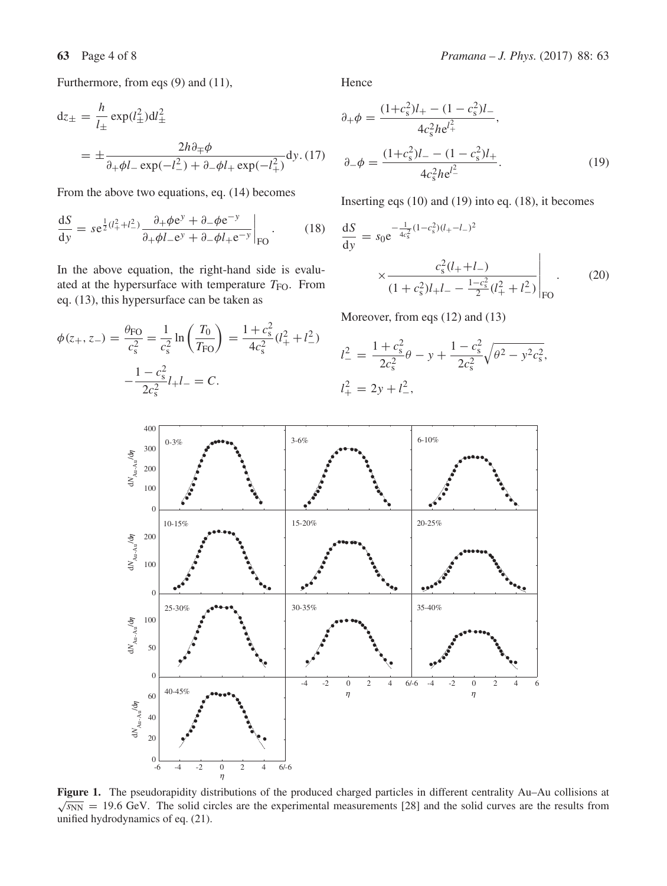Furthermore, from eqs (9) and (11),

$$
dz_{\pm} = \frac{h}{l_{\pm}} \exp(l_{\pm}^2)dl_{\pm}^2
$$
  
= 
$$
\pm \frac{2h\partial_{\mp}\phi}{\partial_{\mp}\phi l_{-} \exp(-l_{-}^2) + \partial_{-\phi}l_{+} \exp(-l_{\pm}^2)} dy. (17)
$$

From the above two equations, eq. (14) becomes

$$
\frac{\mathrm{d}S}{\mathrm{d}y} = s e^{\frac{1}{2}(l_+^2 + l_-^2)} \frac{\partial_+ \phi e^y + \partial_- \phi e^{-y}}{\partial_+ \phi l_- e^y + \partial_- \phi l_+ e^{-y}} \bigg|_{\mathrm{FO}}.
$$
 (18)

In the above equation, the right-hand side is evaluated at the hypersurface with temperature  $T_{\text{FO}}$ . From eq. (13), this hypersurface can be taken as

$$
\phi(z_+, z_-) = \frac{\theta_{\text{FO}}}{c_s^2} = \frac{1}{c_s^2} \ln\left(\frac{T_0}{T_{\text{FO}}}\right) = \frac{1 + c_s^2}{4c_s^2} (l_+^2 + l_-^2)
$$

$$
-\frac{1 - c_s^2}{2c_s^2} l_+ l_- = C.
$$

Hence

$$
\partial_{+}\phi = \frac{(1+c_{s}^{2})l_{+} - (1-c_{s}^{2})l_{-}}{4c_{s}^{2}he^{l_{+}^{2}}},
$$

$$
\partial_{-}\phi = \frac{(1+c_{s}^{2})l_{-} - (1-c_{s}^{2})l_{+}}{4c_{s}^{2}he^{l_{-}^{2}}}.
$$
(19)

Inserting eqs (10) and (19) into eq. (18), it becomes

$$
\frac{dS}{dy} = s_0 e^{-\frac{1}{4c_s^2}(1-c_s^2)(l_+ - l_-)^2}
$$

$$
\times \frac{c_s^2(l_+ + l_-)}{(1+c_s^2)l_+l_- - \frac{1-c_s^2}{2}(l_+^2 + l_-^2)}\Big|_{\text{FO}}.
$$
(20)

Moreover, from eqs (12) and (13)

$$
l_{-}^{2} = \frac{1 + c_{s}^{2}}{2c_{s}^{2}}\theta - y + \frac{1 - c_{s}^{2}}{2c_{s}^{2}}\sqrt{\theta^{2} - y^{2}c_{s}^{2}},
$$
  

$$
l_{+}^{2} = 2y + l_{-}^{2},
$$



**Figure 1.** The pseudorapidity distributions of the produced charged particles in different centrality Au–Au collisions at  $\sqrt{s_{NN}}$  = 19.6 GeV. The solid circles are the experimental measurements [28] and the solid curves are the results from unified hydrodynamics of eq. (21).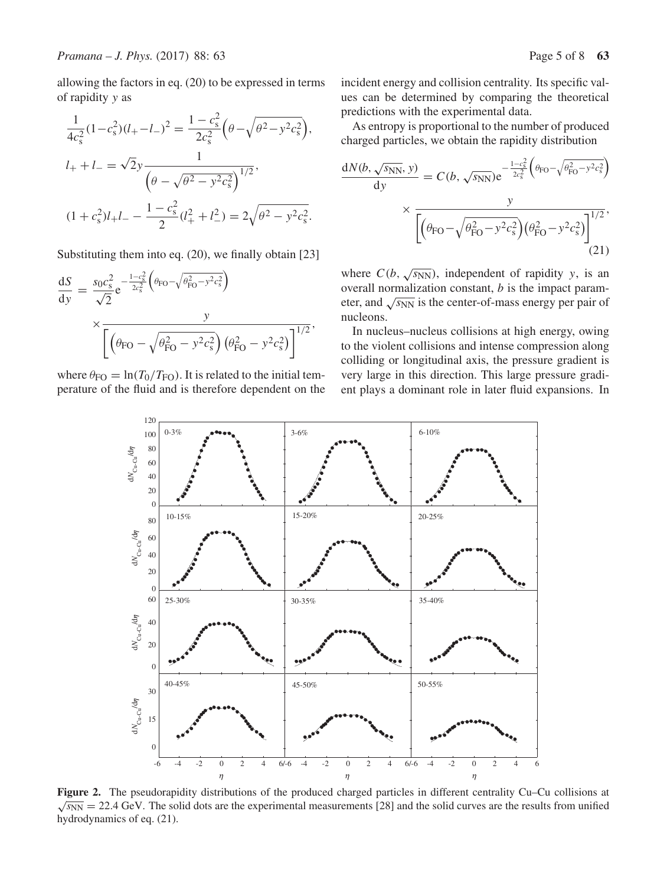allowing the factors in eq. (20) to be expressed in terms of rapidity y as

$$
\frac{1}{4c_s^2}(1-c_s^2)(l_+ - l_-)^2 = \frac{1-c_s^2}{2c_s^2}\left(\theta - \sqrt{\theta^2 - y^2c_s^2}\right),
$$
  
\n
$$
l_+ + l_- = \sqrt{2}y\frac{1}{\left(\theta - \sqrt{\theta^2 - y^2c_s^2}\right)^{1/2}},
$$
  
\n
$$
(1+c_s^2)l_+l_- - \frac{1-c_s^2}{2}(l_+^2 + l_-^2) = 2\sqrt{\theta^2 - y^2c_s^2}.
$$

Substituting them into eq. (20), we finally obtain [23]

$$
\frac{dS}{dy} = \frac{s_0 c_s^2}{\sqrt{2}} e^{-\frac{1 - c_s^2}{2c_s^2} \left(\theta_{\text{FO}} - \sqrt{\theta_{\text{FO}}^2 - y^2 c_s^2}\right)} \times \frac{y}{\left[\left(\theta_{\text{FO}} - \sqrt{\theta_{\text{FO}}^2 - y^2 c_s^2}\right) \left(\theta_{\text{FO}}^2 - y^2 c_s^2\right)\right]^{1/2}},
$$

where  $\theta_{\text{FO}} = \ln(T_0/T_{\text{FO}})$ . It is related to the initial temperature of the fluid and is therefore dependent on the incident energy and collision centrality. Its specific values can be determined by comparing the theoretical predictions with the experimental data.

As entropy is proportional to the number of produced charged particles, we obtain the rapidity distribution

$$
\frac{dN(b, \sqrt{s_{NN}}, y)}{dy} = C(b, \sqrt{s_{NN}}) e^{-\frac{1 - c_s^2}{2c_s^2} \left(\theta_{\text{FO}} - \sqrt{\theta_{\text{FO}}^2 - y^2 c_s^2}\right)} \times \frac{y}{\left[\left(\theta_{\text{FO}} - \sqrt{\theta_{\text{FO}}^2 - y^2 c_s^2}\right) \left(\theta_{\text{FO}}^2 - y^2 c_s^2\right)\right]^{1/2}},\tag{21}
$$

where  $C(b, \sqrt{s_{NN}})$ , independent of rapidity y, is an overall normalization constant,  $b$  is the impact parameter, and  $\sqrt{s_{NN}}$  is the center-of-mass energy per pair of nucleons.

In nucleus–nucleus collisions at high energy, owing to the violent collisions and intense compression along colliding or longitudinal axis, the pressure gradient is very large in this direction. This large pressure gradient plays a dominant role in later fluid expansions. In



**Figure 2.** The pseudorapidity distributions of the produced charged particles in different centrality Cu–Cu collisions at  $\sqrt{s_{NN}}$  = 22.4 GeV. The solid dots are the experimental measurements [28] and the solid curves are the results from unified hydrodynamics of eq. (21) hydrodynamics of eq. (21).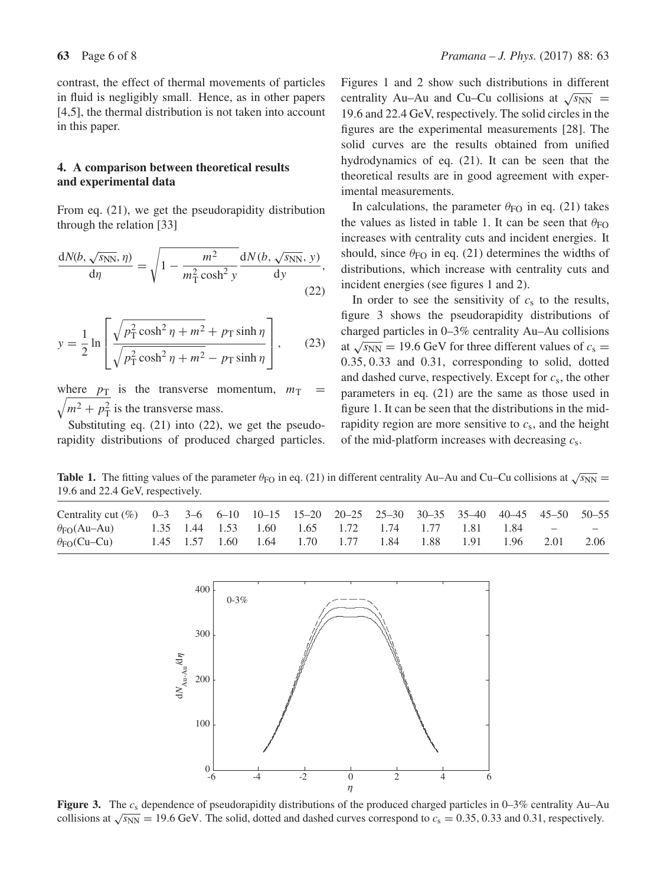contrast, the effect of thermal movements of particles in fluid is negligibly small. Hence, as in other papers [4,5], the thermal distribution is not taken into account in this paper.

## **4. A comparison between theoretical results and experimental data**

From eq. (21), we get the pseudorapidity distribution through the relation [33]

$$
\frac{dN(b, \sqrt{s_{NN}}, \eta)}{d\eta} = \sqrt{1 - \frac{m^2}{m_\text{T}^2 \cosh^2 y}} \frac{dN(b, \sqrt{s_{NN}}, y)}{dy},\tag{22}
$$

$$
y = \frac{1}{2} \ln \left[ \frac{\sqrt{p_T^2 \cosh^2 \eta + m^2} + p_T \sinh \eta}{\sqrt{p_T^2 \cosh^2 \eta + m^2} - p_T \sinh \eta} \right],
$$
 (23)

 $\sqrt{m^2 + p_\text{T}^2}$  is the transverse mass.<br>Substituting as (21) into (22) where  $p_{\text{T}}$  is the transverse momentum,  $m_{\text{T}}$  =

Substituting eq. (21) into (22), we get the pseudorapidity distributions of produced charged particles. Figures 1 and 2 show such distributions in different centrality Au–Au and Cu–Cu collisions at  $\sqrt{s_{NN}}$  = <sup>19</sup>.6 and 22.4 GeV, respectively. The solid circles in the figures are the experimental measurements [28]. The solid curves are the results obtained from unified hydrodynamics of eq. (21). It can be seen that the theoretical results are in good agreement with experimental measurements.

In calculations, the parameter  $\theta_{FO}$  in eq. (21) takes the values as listed in table 1. It can be seen that  $\theta_{FO}$ increases with centrality cuts and incident energies. It should, since  $\theta_{FO}$  in eq. (21) determines the widths of distributions, which increase with centrality cuts and incident energies (see figures 1 and 2).

In order to see the sensitivity of  $c_s$  to the results, figure 3 shows the pseudorapidity distributions of charged particles in 0–3% centrality Au–Au collisions at  $\sqrt{s_{NN}}$  = 19.6 GeV for three different values of  $c_s$  = <sup>0</sup>.35, <sup>0</sup>.33 and 0.31, corresponding to solid, dotted and dashed curve, respectively. Except for  $c_s$ , the other parameters in eq. (21) are the same as those used in figure 1. It can be seen that the distributions in the midrapidity region are more sensitive to  $c_s$ , and the height of the mid-platform increases with decreasing  $c_s$ .

**Table 1.** The fitting values of the parameter  $\theta_{FO}$  in eq. (21) in different centrality Au–Au and Cu–Cu collisions at  $\sqrt{s_{NN}}$  = <sup>19</sup>.6 and 22.4 GeV, respectively.

| Centrality cut (%) 0-3 3-6 6-10 10-15 15-20 20-25 25-30 30-35 35-40 40-45 45-50 50-55 |  |  |  |                                                        |  |  |      |
|---------------------------------------------------------------------------------------|--|--|--|--------------------------------------------------------|--|--|------|
| $\theta_{\text{FO}}(Au - Au)$ 1.35 1.44 1.53 1.60 1.65 1.72 1.74 1.77 1.81 1.84 - -   |  |  |  |                                                        |  |  |      |
| $\theta_{FO}(Cu-Cu)$                                                                  |  |  |  | 1.45 1.57 1.60 1.64 1.70 1.77 1.84 1.88 1.91 1.96 2.01 |  |  | 2.06 |



**Figure 3.** The  $c_s$  dependence of pseudorapidity distributions of the produced charged particles in 0–3% centrality Au–Au collisions at  $\sqrt{s_{NN}}$  = 19.6 GeV. The solid, dotted and dashed curves correspond to  $c_s$  = 0.35, 0.33 and 0.31, respectively.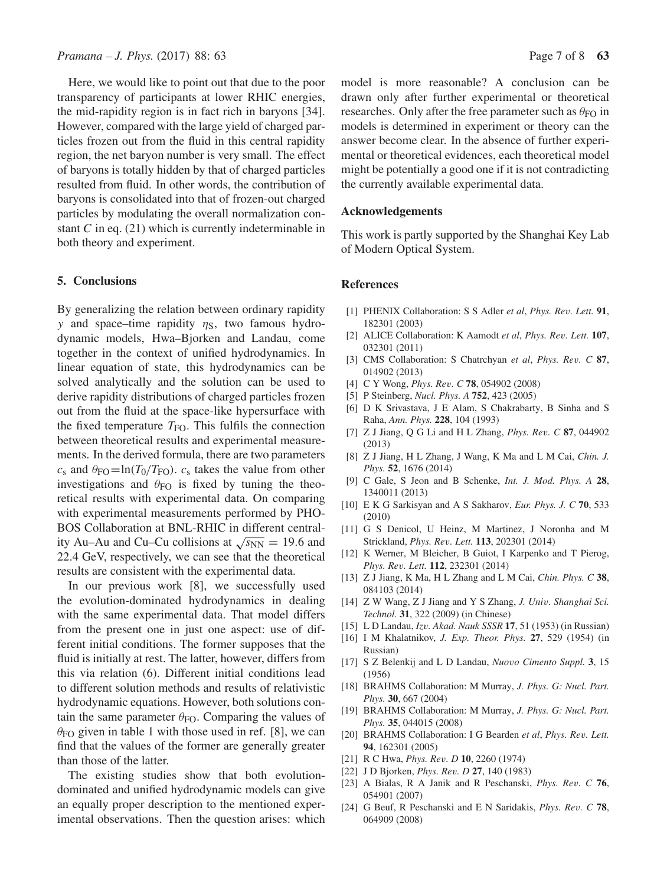Here, we would like to point out that due to the poor transparency of participants at lower RHIC energies, the mid-rapidity region is in fact rich in baryons [34]. However, compared with the large yield of charged particles frozen out from the fluid in this central rapidity region, the net baryon number is very small. The effect of baryons is totally hidden by that of charged particles resulted from fluid. In other words, the contribution of baryons is consolidated into that of frozen-out charged particles by modulating the overall normalization constant  $C$  in eq. (21) which is currently indeterminable in both theory and experiment.

### **5. Conclusions**

By generalizing the relation between ordinary rapidity y and space–time rapidity  $\eta_s$ , two famous hydrodynamic models, Hwa–Bjorken and Landau, come together in the context of unified hydrodynamics. In linear equation of state, this hydrodynamics can be solved analytically and the solution can be used to derive rapidity distributions of charged particles frozen out from the fluid at the space-like hypersurface with the fixed temperature  $T_{\text{FO}}$ . This fulfils the connection between theoretical results and experimental measurements. In the derived formula, there are two parameters  $c_s$  and  $\theta_{\text{FO}} = \ln(T_0/T_{\text{FO}})$ .  $c_s$  takes the value from other investigations and  $\theta_{FO}$  is fixed by tuning the theoretical results with experimental data. On comparing with experimental measurements performed by PHO-BOS Collaboration at BNL-RHIC in different centrality Au–Au and Cu–Cu collisions at  $\sqrt{s_{NN}} = 19.6$  and 22.4 GeV, respectively, we can see that the theoretical results are consistent with the experimental data.

In our previous work [8], we successfully used the evolution-dominated hydrodynamics in dealing with the same experimental data. That model differs from the present one in just one aspect: use of different initial conditions. The former supposes that the fluid is initially at rest. The latter, however, differs from this via relation (6). Different initial conditions lead to different solution methods and results of relativistic hydrodynamic equations. However, both solutions contain the same parameter  $\theta_{FO}$ . Comparing the values of  $\theta_{FO}$  given in table 1 with those used in ref. [8], we can find that the values of the former are generally greater than those of the latter.

The existing studies show that both evolutiondominated and unified hydrodynamic models can give an equally proper description to the mentioned experimental observations. Then the question arises: which model is more reasonable? A conclusion can be drawn only after further experimental or theoretical researches. Only after the free parameter such as  $\theta_{FO}$  in models is determined in experiment or theory can the answer become clear. In the absence of further experimental or theoretical evidences, each theoretical model might be potentially a good one if it is not contradicting the currently available experimental data.

#### **Acknowledgements**

This work is partly supported by the Shanghai Key Lab of Modern Optical System.

#### **References**

- [1] PHENIX Collaboration: S S Adler *et al*, *Phys. Re*v*. Lett.* **<sup>91</sup>**, 182301 (2003)
- [2] ALICE Collaboration: K Aamodt *et al*, *Phys. Re*v*. Lett.* **<sup>107</sup>**, 032301 (2011)
- [3] CMS Collaboration: S Chatrchyan *et al*, *Phys. Re*v*. C* **<sup>87</sup>**, 014902 (2013)
- [4] C Y Wong, *Phys. Re*v*. C* **<sup>78</sup>**, 054902 (2008)
- [5] P Steinberg, *Nucl. Phys. A* **752**, 423 (2005)
- [6] D K Srivastava, J E Alam, S Chakrabarty, B Sinha and S Raha, *Ann. Phys.* **228**, 104 (1993)
- [7] Z J Jiang, Q G Li and H L Zhang, *Phys. Re*v*. C* **<sup>87</sup>**, 044902 (2013)
- [8] Z J Jiang, H L Zhang, J Wang, K Ma and L M Cai, *Chin. J. Phys.* **52**, 1676 (2014)
- [9] C Gale, S Jeon and B Schenke, *Int. J. Mod. Phys. A* **28**, 1340011 (2013)
- [10] E K G Sarkisyan and A S Sakharov, *Eur. Phys. J. C* **70**, 533 (2010)
- [11] G S Denicol, U Heinz, M Martinez, J Noronha and M Strickland, *Phys. Re*v*. Lett.* **<sup>113</sup>**, 202301 (2014)
- [12] K Werner, M Bleicher, B Guiot, I Karpenko and T Pierog, *Phys. Re*v*. Lett.* **<sup>112</sup>**, 232301 (2014)
- [13] Z J Jiang, K Ma, H L Zhang and L M Cai, *Chin. Phys. C* **38**, 084103 (2014)
- [14] Z W Wang, Z J Jiang and Y S Zhang, *J. Uni*v*. Shanghai Sci. Technol.* **31**, 322 (2009) (in Chinese)
- [15] L D Landau, *Iz*v*. Akad. Nauk SSSR* **<sup>17</sup>**, 51 (1953) (in Russian)
- [16] I M Khalatnikov, *J. Exp. Theor. Phys.* **27**, 529 (1954) (in Russian)
- [17] S Z Belenkij and L D Landau, *Nuo*v*o Cimento Suppl.* **<sup>3</sup>**, 15 (1956)
- [18] BRAHMS Collaboration: M Murray, *J. Phys. G: Nucl. Part. Phys.* **30**, 667 (2004)
- [19] BRAHMS Collaboration: M Murray, *J. Phys. G: Nucl. Part. Phys.* **35**, 044015 (2008)
- [20] BRAHMS Collaboration: I G Bearden *et al*, *Phys. Re*v*. Lett.* **94**, 162301 (2005)
- [21] R C Hwa, *Phys. Re*v*. D* **<sup>10</sup>**, 2260 (1974)
- [22] J D Bjorken, *Phys. Re*v*. D* **<sup>27</sup>**, 140 (1983)
- [23] A Bialas, R A Janik and R Peschanski, *Phys. Re*v*. C* **<sup>76</sup>**, 054901 (2007)
- [24] G Beuf, R Peschanski and E N Saridakis, *Phys. Re*v*. C* **<sup>78</sup>**, 064909 (2008)